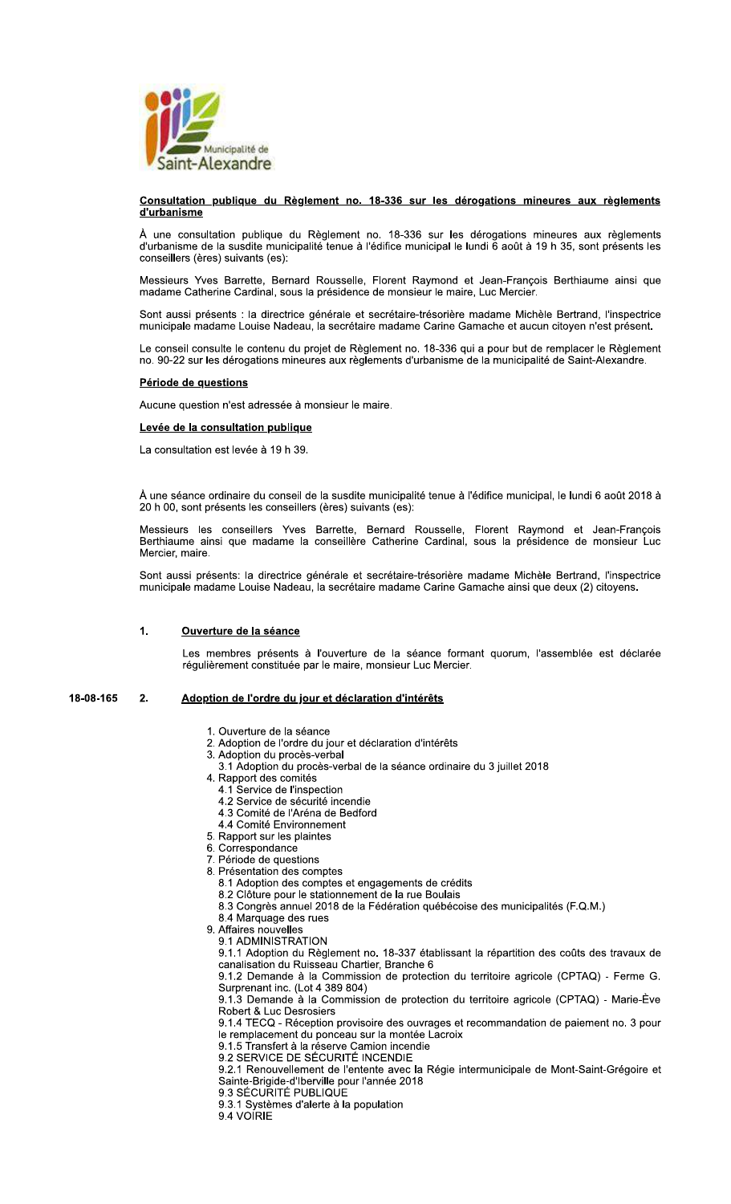

### Consultation publique du Règlement no. 18-336 sur les dérogations mineures aux règlements d'urbanisme

À une consultation publique du Règlement no. 18-336 sur les dérogations mineures aux règlements d'urbanisme de la susdite municipalité tenue à l'édifice municipale de lundi 6 août à 19 h 35, sont présents les conseillers (ères) suivants (es):

Messieurs Yves Barrette, Bernard Rousselle, Florent Raymond et Jean-François Berthiaume ainsi que madame Catherine Cardinal, sous la présidence de monsieur le maire, Luc Mercier.

Sont aussi présents : la directrice générale et secrétaire-trésorière madame Michèle Bertrand, l'inspectrice municipale madame Louise Nadeau, la secrétaire madame Carine Gamache et aucun citoyen n'est présent.

Le conseil consulte le contenu du projet de Règlement no. 18-336 qui a pour but de remplacer le Règlement no. 90-22 sur les dérogations mineures aux règlements d'urbanisme de la municipalité de Saint-Alexandre.

# Période de questions

Aucune question n'est adressée à monsieur le maire.

## Levée de la consultation publique

La consultation est levée à 19 h 39.

À une séance ordinaire du conseil de la susdite municipalité tenue à l'édifice municipal, le lundi 6 août 2018 à 20 h 00, sont présents les conseillers (ères) suivants (es):

Messieurs les conseillers Yves Barrette, Bernard Rousselle, Florent Raymond et Jean-François Berthiaume ainsi que madame la conseillère Catherine Cardinal, sous la présidence de monsieur Luc Mercier, maire.

Sont aussi présents: la directrice générale et secrétaire-trésorière madame Michèle Bertrand, l'inspectrice municipale madame Louise Nadeau, la secrétaire madame Carine Gamache ainsi que deux (2) citoyens.

### $\overline{1}$ . Ouverture de la séance

Les membres présents à l'ouverture de la séance formant quorum, l'assemblée est déclarée régulièrement constituée par le maire, monsieur Luc Mercier.

#### 18-08-165  $2.$ Adoption de l'ordre du jour et déclaration d'intérêts

- 1. Ouverture de la séance
- 2. Adoption de l'ordre du jour et déclaration d'intérêts
- 3. Adoption du procès-verbal
- 3.1 Adoption du procès-verbal de la séance ordinaire du 3 juillet 2018
- 4. Rapport des comités
	- 4.1 Service de l'inspection
	- 4.2 Service de sécurité incendie
	- 4.3 Comité de l'Aréna de Bedford
	- 4.4 Comité Environnement
- 5. Rapport sur les plaintes<br>6. Correspondance
- 7. Période de questions
- 8. Présentation des comptes
	- 8.1 Adoption des comptes et engagements de crédits
	- 8.2 Clôture pour le stationnement de la rue Boulais
	- 8.3 Congrès annuel 2018 de la Fédération québécoise des municipalités (F.Q.M.)
- 8.4 Marquage des rues
- 9. Affaires nouvelles
	-

9.1 ADMINISTRATION<br>9.1 ADMINISTRATION<br>9.1.1 Adoption du Règlement no. 18-337 établissant la répartition des coûts des travaux de<br>canalisation du Ruisseau Chartier, Branche 6

9.1.2 Demande à la Commission de protection du territoire agricole (CPTAQ) - Ferme G. Surprenant inc. (Lot 4 389 804) 9.1.3 Demande à la Commission de protection du territoire agricole (CPTAQ) - Marie-Ève

Robert & Luc Desrosiers

9.1.4 TECQ - Réception provisoire des ouvrages et recommandation de paiement no. 3 pour le remplacement du ponceau sur la montée Lacroix

9.1.5 Transfert à la réserve Camion incendie<br>9.2 SERVICE DE SÉCURITÉ INCENDIE

9.2.1 Renouvellement de l'entente avec la Régie intermunicipale de Mont-Saint-Grégoire et Sainte-Brigide-d'Iberville pour l'année 2018

9.3 SÉCURITÉ PUBLIQUE

9.3.1 Systèmes d'alerte à la population

9.4 VOIRIE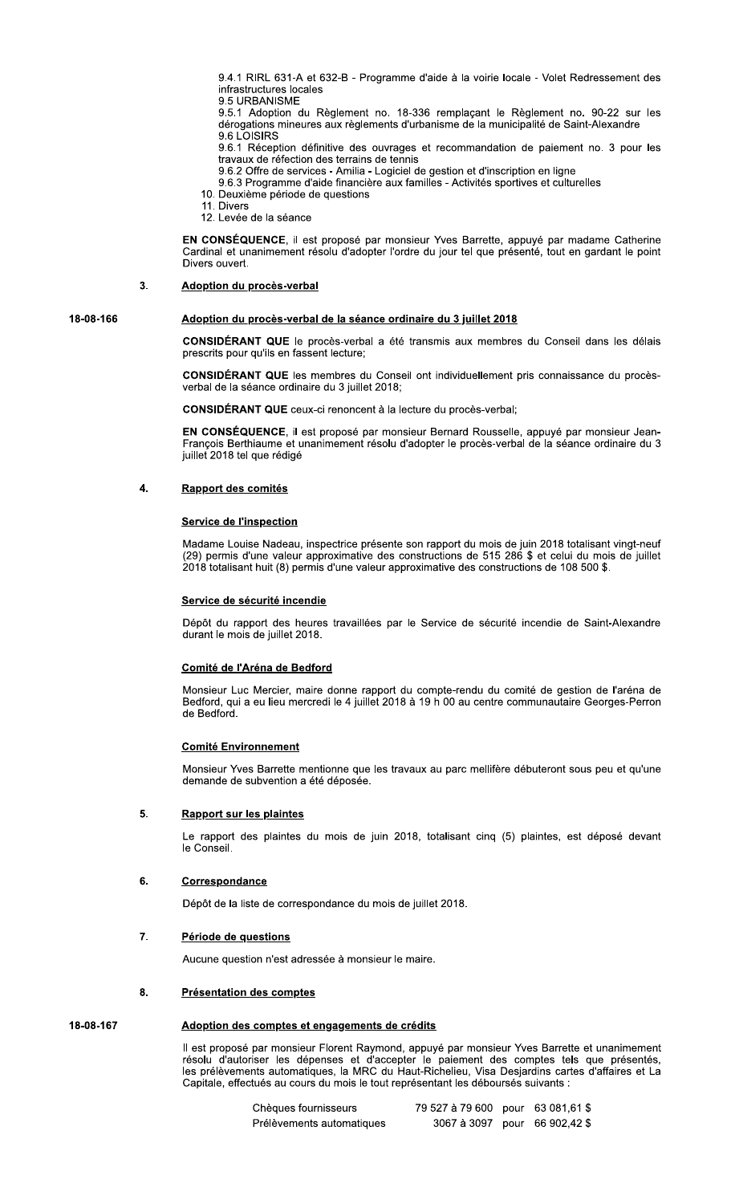9.4.1 KIRL 631-A et 632-B - Programme d'aide à la voirie locale - Voiet Redressement des

9.4.1 RIRL 631-A et 632-B - Program<br>
infrastructures locales<br>
9.5 URBANISME<br>
9.5.1 Adoption du Règlement no. 1<br>
dérogations mineures aux règlements<br>
9.6.1 Réception définitive des ouvra<br>
9.6.1 Réception définitive des ouvr 9.5.1 Adoption du Règlement no. 18-336 remplaçant le Règlement no. 90-22 sur les derogations mineures aux regiements d'urbanisme de la municipalite de Saint-Alexandre

9.6 LOISIRS<br>2.2 J D'Anima Marco (1999) - 1999 - 1999 - 1999 - 1999 - 1999 - 1999 - 1999 - 1999 - 1999 - 1999 - 1999 - 199 9.6.1 Réception définitive des ouvrages et recommandation de paiement no. 3 pour les travaux de réfection des terrains de tennis

9.6.2 Offre de services - Amilia - Logiciel de gestion et d'inscription en ligne<br>.

- 9.6.3 Programme d'aide financière aux familles Activités sportives et culturelles<br>—
- 10. Deuxième période de questions
- 11. Divers 12. Levée de la séance

EN CONSÉQUENCE, il est proposé par monsieur Yves Barrette, appuyé par madame Catherine Cardinal et unanimement résolu d'adopter l'ordre du jour tel que présenté, tout en gardant le point Divers ouvert

# 3. Adoption du procès-verbal

# 18-08-166 **Adoption du procès-verbal de la séance ordinaire du 3 juillet 2018**

**CONSIDERANT QUE** le proces-verbal a ete transmis aux membres du Conseil dans les delais prescrits pour qu'ils en fassent lecture;

CONSIDÉRANT QUE les membres du Conseil ont individuellement pris connaissance du procèsverbal de la séance ordinaire du 3 juillet 2018;

CONSIDERANT QUE ceux-ci renoncent a la lecture du proces-verbai;

EN CONSÉQUENCE, il est proposé par monsieur Bernard Rousselle, appuyé par monsieur Jean-François Berthiaume et unanimement resolu d'adopter le proces-verbal de la seance ordinaire du 3 juillet 2018 tel que rédigé

# 4. Rapport des comités

Madame Louise Nadeau, inspectrice présente son rapport du mois de juin 2018 totalisant vingt-neuf Madame Louise Nadeau, inspectrice presente son rapport du mois de juin 2018 totalisant vingt-neur<br>(29) permis d'une valeur approximative des constructions de 515 286 \$ et celui du mois de juillet Service de l'Inspection<br>Madame Louise Nadeau, inspectrice présente son rapport du mois de juin 2018 totalisant v<br>(29) permis d'une valeur approximative des constructions de 515 286 \$ et celui du mois<br>2018 totalisant huit (

Lepot du rapport des heures travalliees par le Service de securite incendie de Saint-Alexandre Service de securite incendie<br>Dépôt du rapport des heures<br>durant le mois de juillet 2018.

Monsieur Luc Mercier, maire donne rapport du compte-rendu du comite de gestion de l'arena de Bedford, qui a eu lieu mercredi le 4 juillet 2018 a 19 n 00 au centre communautaire Georges-Perron **Comite de l'Arena de Bedrord**<br>Monsieur Luc Mercier, maire de<br>Bedford, qui a eu lieu mercredi l<br>de Bedford.

Monsieur Yves Barrette mentionne que les travaux au parc mellifere debuteront sous peu et qu'une <u>Comite Environnement</u><br>Monsieur Yves Barrette mentionne que le<br>demande de subvention a été déposée.

## $5<sub>1</sub>$

Le rapport des plaintes du mois de juin 2018, totalisant cinq (5) plaintes, est depose devant **Rapport sur les plaintes**<br>Le rapport des plaintes<br>le Conseil.

## $6$

**Correspondance**<br>Dépôt de la liste de correspondance du mois de juillet 2018.

## $\overline{7}$ .

**Période de questions**<br>Aucune question n'est adressée à monsieur le maire.

# 8. Présentation des comptes

ii est propose par monsieur Florent Raymond, appuye par monsieur Yves Barrette et unanimement resolu d'autoriser les depenses et d'accepter le palement des comptes tels que presentes, les preievements automatiques, la MRC du Haut-Richelleu, visa Desjardins cartes d'affaires et La Capitale, effectués au cours du mois le tout représentant les déboursés suivants : Heren is a Creatis and Comptes in the pair monsieur Start of the Barrette et<br>
Il est proposé par monsieur Florent Raymond, appuyé par monsieur Yves Barrette et<br>
résolu d'autoriser les dépenses et d'accepter le paiement des

| Chèques fournisseurs      | 79 527 à 79 600 pour 63 081,61 \$ |  |
|---------------------------|-----------------------------------|--|
| Prélèvements automatiques | 3067 à 3097 pour 66 902,42 \$     |  |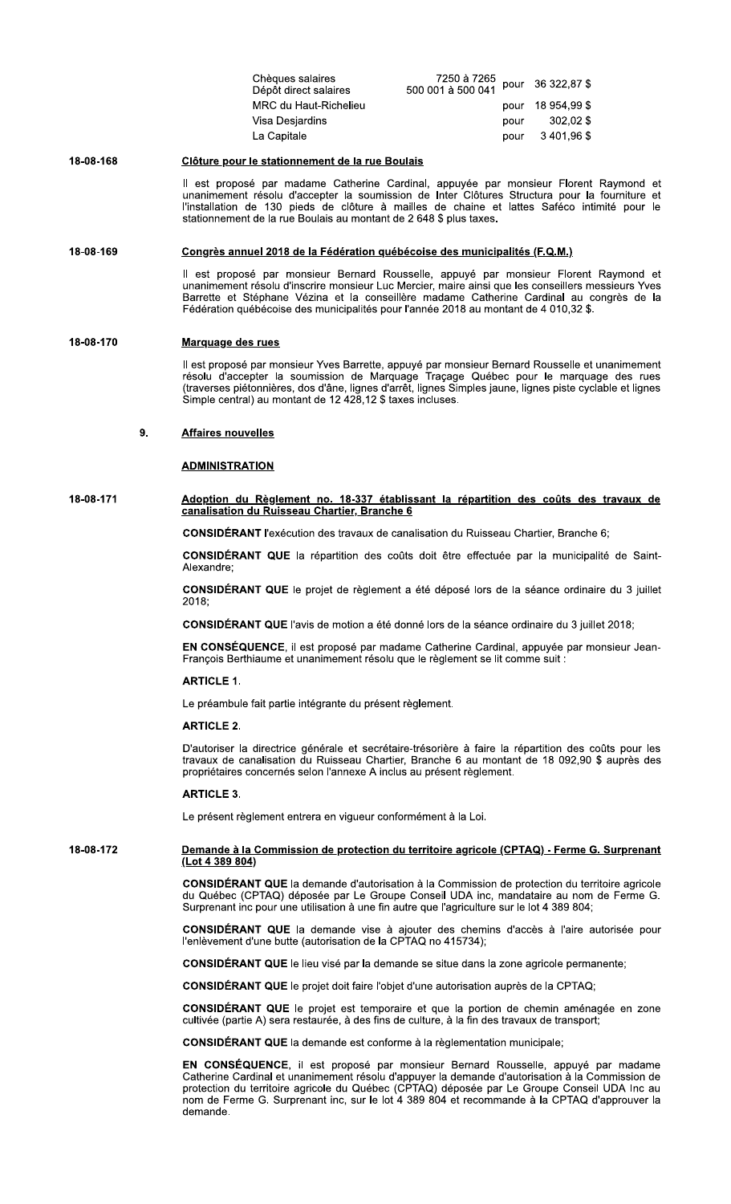| Chèques salaires<br>Dépôt direct salaires | 7250 à 7265<br>Carl 120 044 pour 36 322,87 \$<br>500 001 à 500 041 |      |                   |
|-------------------------------------------|--------------------------------------------------------------------|------|-------------------|
| MRC du Haut-Richelieu                     |                                                                    |      | pour 18 954.99 \$ |
| Visa Desjardins                           |                                                                    | pour | 302.02 \$         |
| La Capitale                               |                                                                    | pour | 3401.96\$         |

### 18-08-168 Clôture pour le stationnement de la rue Boulais

Il est proposé par madame Catherine Cardinal, appuyée par monsieur Florent Raymond et unanimement résolu d'accepter la soumission de Inter Clôtures Structura pour la fourniture et<br>l'installation de 130 pieds de clôture à mailles de chaine et lattes Saféco intimité pour le<br>stationnement de la rue Boulais au

### 18-08-169 Congrès annuel 2018 de la Fédération québécoise des municipalités (F.Q.M.)

Il est proposé par monsieur Bernard Rousselle, appuyé par monsieur Florent Raymond et<br>unanimement résolu d'inscrire monsieur Luc Mercier, maire ainsi que les conseillers messieurs Yves Barrette et Stéphane Vézina et la conseillère madame Catherine Cardinal au congrès de la Fédération québécoise des municipalités pour l'année 2018 au montant de 4 010,32 \$.

### 18-08-170 Marquage des rues

Il est proposé par monsieur Yves Barrette, appuyé par monsieur Bernard Rousselle et unanimement résolu d'accepter la soumission de Marquage Traçage Québec pour le marquage des rues (traverses piétonnières, dos d'âne, ligne Simple central) au montant de 12 428,12 \$ taxes incluses.

#### 9. **Affaires nouvelles**

## **ADMINISTRATION**

# 18-08-171 Adoption du Règlement no. 18-337 établissant la répartition des coûts des travaux de canalisation du Ruisseau Chartier, Branche 6

CONSIDÉRANT l'exécution des travaux de canalisation du Ruisseau Chartier, Branche 6;

CONSIDÉRANT QUE la répartition des coûts doit être effectuée par la municipalité de Saint-Alexandre:

CONSIDÉRANT QUE le projet de règlement a été déposé lors de la séance ordinaire du 3 juillet 2018;

**CONSIDÉRANT QUE** l'avis de motion a été donné lors de la séance ordinaire du 3 juillet 2018;

EN CONSÉQUENCE, il est proposé par madame Catherine Cardinal, appuyée par monsieur Jean-François Berthiaume et unanimement résolu que le règlement se lit comme suit :

## **ARTICLE 1.**

Le préambule fait partie intégrante du présent règlement.

## **ARTICLE 2.**

D'autoriser la directrice générale et secrétaire-trésorière à faire la répartition des coûts pour les travaux de canalisation du Ruisseau Chartier, Branche 6 au montant de 18 092,90 \$ auprès des propriétaires concernés selon l'annexe A inclus au présent règlement.

### **ARTICLE 3.**

Le présent règlement entrera en vigueur conformément à la Loi.

### 18-08-172 Demande à la Commission de protection du territoire agricole (CPTAQ) - Ferme G. Surprenant (Lot 4 389 804)

CONSIDÉRANT QUE la demande d'autorisation à la Commission de protection du territoire agricole du Québec (CPTAQ) déposée par Le Groupe Conseil UDA inc, mandataire au nom de Ferme G. Surprenant inc pour une utilisation à une fin autre que l'agriculture sur le lot 4 389 804;

**CONSIDÉRANT QUE** la demande vise à ajouter des chemins d'accès à l'aire autorisée pour l'enlèvement d'une butte (autorisation de la CPTAQ no 415734);

CONSIDÉRANT QUE le lieu visé par la demande se situe dans la zone agricole permanente;

**CONSIDÉRANT QUE** le projet doit faire l'objet d'une autorisation auprès de la CPTAQ;

CONSIDÉRANT QUE le projet est temporaire et que la portion de chemin aménagée en zone cultivée (partie A) sera restaurée, à des fins de culture, à la fin des travaux de transport;

**CONSIDÉRANT QUE** la demande est conforme à la règlementation municipale;

EN CONSÉQUENCE, il est proposé par monsieur Bernard Rousselle, appuyé par madame Catherine Cardinal et unanimement résolu d'appuyer la demande d'autorisation à la Commission de<br>protection du territoire agricole du Québec (CPTAQ) déposée par Le Groupe Conseil UDA Inc au nom de Ferme G. Surprenant inc, sur le lot 4 389 804 et recommande à la CPTAQ d'approuver la demande.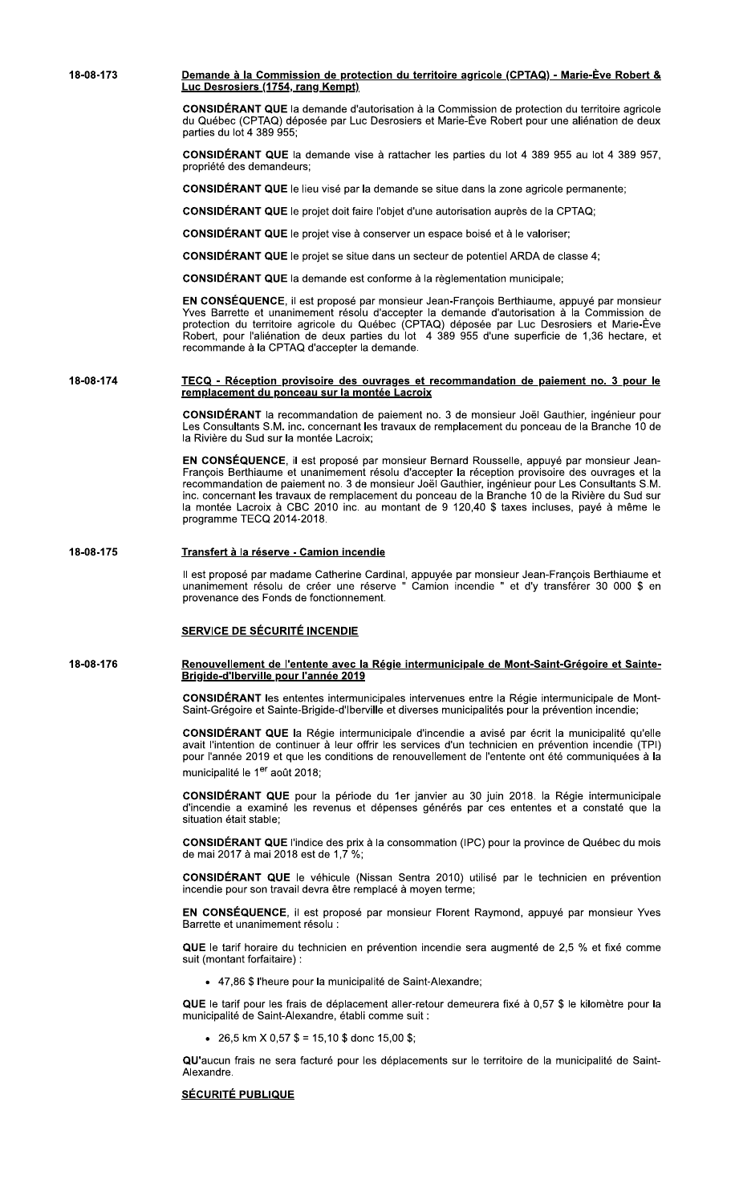18-08-173 Demande à la Commission de protection du territoire agricole (CPTAQ) - Marie-Ève Robert & Luc Desrosiers (1754, rang Kempt) CONSIDÉRANT QUE la demande d'autorisation à la Commission de protection du territoire agricole du Québec (CPTAQ) déposée par Luc Desrosiers et Marie-Ève Robert pour une aliénation de deux parties du lot 4 389 955;

> CONSIDÉRANT QUE la demande vise à rattacher les parties du lot 4 389 955 au lot 4 389 957, propriété des demandeurs:

CONSIDÉRANT QUE le lieu visé par la demande se situe dans la zone agricole permanente;

CONSIDÉRANT QUE le projet doit faire l'objet d'une autorisation auprès de la CPTAQ;

CONSIDÉRANT QUE le projet vise à conserver un espace boisé et à le valoriser;

CONSIDÉRANT QUE le projet se situe dans un secteur de potentiel ARDA de classe 4;

**CONSIDÉRANT QUE** la demande est conforme à la règlementation municipale:

EN CONSÉQUENCE, il est proposé par monsieur Jean-François Berthiaume, appuyé par monsieur Yves Barrette et unanimement résolu d'accepter la demande d'autorisation à la Commission de protection du territoire agricole du Québec (CPTAQ) déposée par Luc Desrosiers et Marie-Ève Robert, pour l'aliénation de deux parties du lot 4 389 955 d'une superficie de 1,36 hectare, et recommande à la CPTAQ d'accepter la demande.

### 18-08-174 TECQ - Réception provisoire des ouvrages et recommandation de paiement no. 3 pour le remplacement du ponceau sur la montée Lacroix

CONSIDÉRANT la recommandation de paiement no. 3 de monsieur Joël Gauthier, ingénieur pour Les Consultants S.M. inc. concernant les travaux de remplacement du ponceau de la Branche 10 de la Rivière du Sud sur la montée Lacroix;

EN CONSÉQUENCE, il est proposé par monsieur Bernard Rousselle, appuyé par monsieur Jean-François Berthiaume et unanimement résolu d'accepter la réception provisoire des ouvrages et la recommandation de paiement no. 3 de monsieur Joël Gauthier, ingénieur pour Les Consultants S.M.<br>inc. concernant les travaux de remplacement du ponceau de la Branche 10 de la Rivière du Sud sur la montée Lacroix à CBC 2010 inc. au montant de 9 120,40 \$ taxes incluses, payé à même le programme TECQ 2014-2018.

### 18-08-175 Transfert à la réserve - Camion incendie

Il est proposé par madame Catherine Cardinal, appuyée par monsieur Jean-François Berthiaume et<br>unanimement résolu de créer une réserve " Camion incendie " et d'y transférer 30 000 \$ en provenance des Fonds de fonctionnement.

## **SERVICE DE SÉCURITÉ INCENDIE**

### 18-08-176 Renouvellement de l'entente avec la Régie intermunicipale de Mont-Saint-Grégoire et Sainte-Brigide-d'Iberville pour l'année 2019

CONSIDÉRANT les ententes intermunicipales intervenues entre la Régie intermunicipale de Mont-Saint-Grégoire et Sainte-Brigide-d'Iberville et diverses municipalités pour la prévention incendie;

CONSIDÉRANT QUE la Régie intermunicipale d'incendie a avisé par écrit la municipalité qu'elle avait l'intention de continuer à leur offrir les services d'un technicien en prévention incendie (TPI) pour l'année 2019 et que les conditions de renouvellement de l'entente ont été communiquées à la municipalité le 1<sup>er</sup> août 2018:

CONSIDÉRANT QUE pour la période du 1er janvier au 30 juin 2018. la Régie intermunicipale d'incendie a examiné les revenus et dépenses générés par ces ententes et a constaté que la situation était stable;

CONSIDÉRANT QUE l'indice des prix à la consommation (IPC) pour la province de Québec du mois de mai 2017 à mai 2018 est de 1,7 %;

CONSIDÉRANT QUE le véhicule (Nissan Sentra 2010) utilisé par le technicien en prévention incendie pour son travail devra être remplacé à moyen terme;

EN CONSÉQUENCE, il est proposé par monsieur Florent Raymond, appuyé par monsieur Yves Barrette et unanimement résolu :

QUE le tarif horaire du technicien en prévention incendie sera augmenté de 2,5 % et fixé comme suit (montant forfaitaire) :

• 47,86 \$ l'heure pour la municipalité de Saint-Alexandre;

QUE le tarif pour les frais de déplacement aller-retour demeurera fixé à 0,57 \$ le kilomètre pour la municipalité de Saint-Alexandre, établi comme suit :

• 26.5 km  $X$  0.57 \$ = 15.10 \$ donc 15.00 \$:

QU'aucun frais ne sera facturé pour les déplacements sur le territoire de la municipalité de Saint-Alexandre.

# **SÉCURITÉ PUBLIQUE**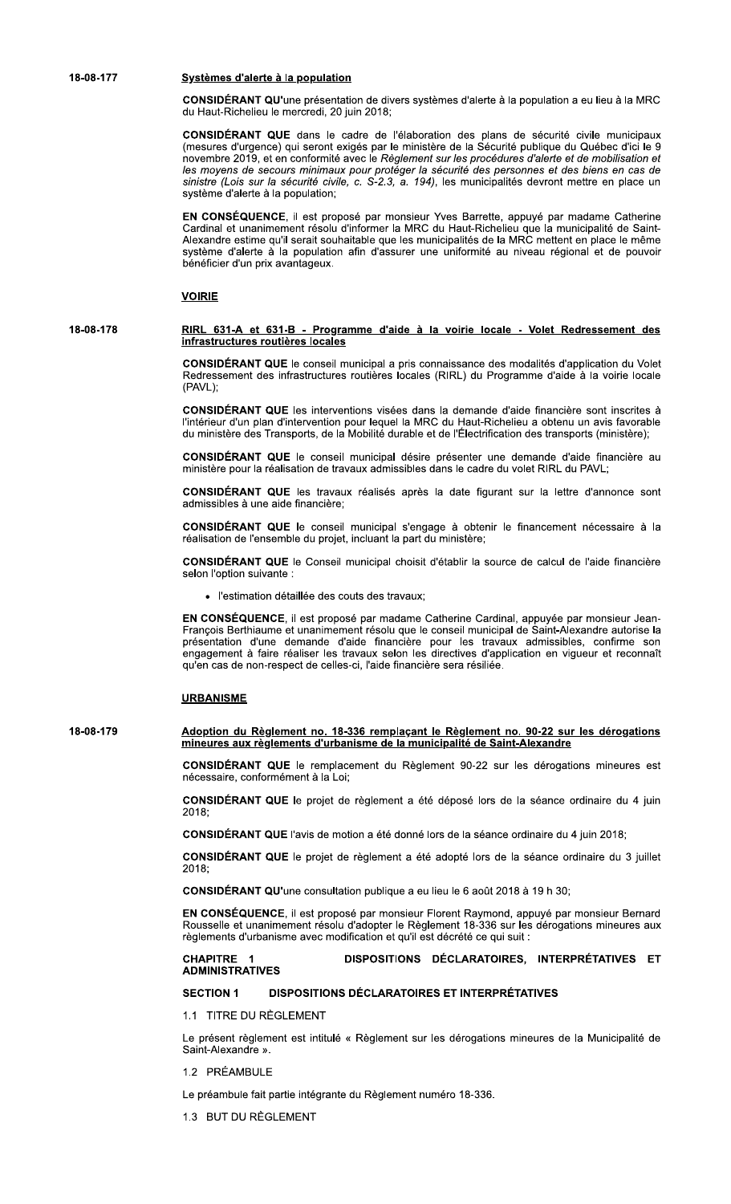18-08-177

### Systèmes d'alerte à la population

CONSIDÉRANT QU'une présentation de divers systèmes d'alerte à la population a eu lieu à la MRC du Haut-Richelieu le mercredi, 20 juin 2018;

CONSIDÉRANT QUE dans le cadre de l'élaboration des plans de sécurité civile municipaux (mesures d'urgence) qui seront exigés par le ministère de la Sécurité publique du Québec d'ici le 9 novembre 2019, et en conformité avec le Règlement sur les procédures d'alerte et de mobilisation et<br>les moyens de secours minimaux pour protéger la sécurité des personnes et des biens en cas de<br>sinistre (Lois sur la sécuri système d'alerte à la population;

EN CONSÉQUENCE, il est proposé par monsieur Yves Barrette, appuyé par madame Catherine Cardinal et unanimement résolu d'informer la MRC du Haut-Richelieu que la municipalité de Saint-Alexandre estime qu'il serait souhaitable que les municipalités de la MRC mettent en place le même système d'alerte à la population afin d'assurer une uniformité au niveau régional et de pouvoir bénéficier d'un prix avantageux.

### **VOIRIE**

### 18-08-178 RIRL 631-A et 631-B - Programme d'aide à la voirie locale - Volet Redressement des infrastructures routières locales

CONSIDÉRANT QUE le conseil municipal a pris connaissance des modalités d'application du Volet Redressement des infrastructures routières locales (RIRL) du Programme d'aide à la voirie locale (PAVL);

CONSIDÉRANT QUE les interventions visées dans la demande d'aide financière sont inscrites à l'intérieur d'un plan d'intervention pour lequel la MRC du Haut-Richelieu a obtenu un avis favorable du ministère des Transports, de la Mobilité durable et de l'Électrification des transports (ministère);

CONSIDÉRANT QUE le conseil municipal désire présenter une demande d'aide financière au ministère pour la réalisation de travaux admissibles dans le cadre du volet RIRL du PAVL;

CONSIDERANT QUE les travaux réalisés après la date figurant sur la lettre d'annonce sont admissibles à une aide financière:

CONSIDÉRANT QUE le conseil municipal s'engage à obtenir le financement nécessaire à la réalisation de l'ensemble du projet, incluant la part du ministère;

CONSIDÉRANT QUE le Conseil municipal choisit d'établir la source de calcul de l'aide financière selon l'option suivante :

· l'estimation détaillée des couts des travaux:

EN CONSÉQUENCE, il est proposé par madame Catherine Cardinal, appuyée par monsieur Jean-François Berthiaume et unanimement résolu que le conseil municipal de Saint-Alexandre autorise la présentation d'une demande d'aide financière pour les travaux admissibles, confirme son<br>engagement à faire réaliser les travaux selon les directives d'application en vigueur et reconnaît qu'en cas de non-respect de celles-ci, l'aide financière sera résiliée.

### **URBANISME**

### 18-08-179 Adoption du Règlement no. 18-336 remplaçant le Règlement no. 90-22 sur les dérogations mineures aux règlements d'urbanisme de la municipalité de Saint-Alexandre

CONSIDÉRANT QUE le remplacement du Règlement 90-22 sur les dérogations mineures est nécessaire, conformément à la Loi;

CONSIDÉRANT QUE le projet de règlement a été déposé lors de la séance ordinaire du 4 juin 2018:

CONSIDÉRANT QUE l'avis de motion a été donné lors de la séance ordinaire du 4 juin 2018;

CONSIDÉRANT QUE le projet de règlement a été adopté lors de la séance ordinaire du 3 juillet 2018;

CONSIDÉRANT QU'une consultation publique a eu lieu le 6 août 2018 à 19 h 30;

EN CONSÉQUENCE, il est proposé par monsieur Florent Raymond, appuyé par monsieur Bernard Rousselle et unanimement résolu d'adopter le Règlement 18-336 sur les dérogations mineures aux règlements d'urbanisme avec modification et qu'il est décrété ce qui suit :

### DISPOSITIONS DÉCLARATOIRES, INTERPRÉTATIVES ET **CHAPITRE 1 ADMINISTRATIVES**

### **DISPOSITIONS DÉCLARATOIRES ET INTERPRÉTATIVES SECTION 1**

1.1 TITRE DU RÈGLEMENT

Le présent règlement est intitulé « Règlement sur les dérogations mineures de la Municipalité de Saint-Alexandre ».

1.2 PRÉAMBULE

Le préambule fait partie intégrante du Règlement numéro 18-336.

1.3 BUT DU RÈGLEMENT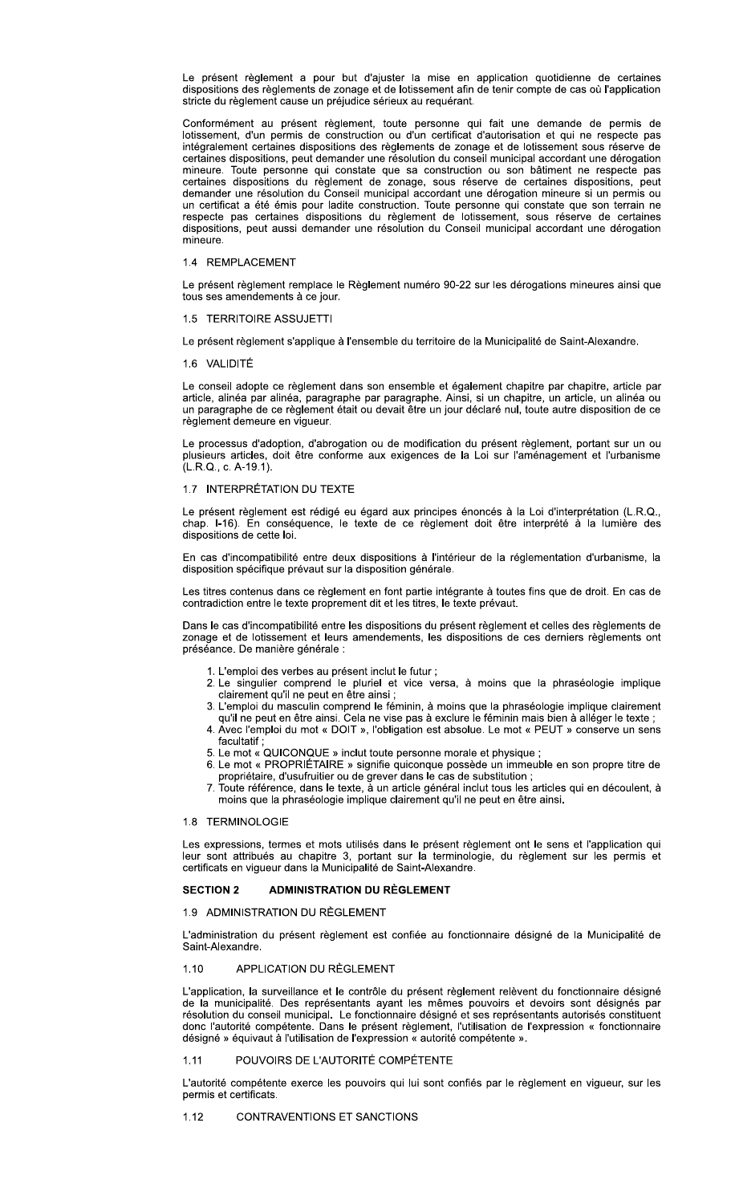Le présent règlement a pour but d'ajuster la mise en application quotidienne de certaines dispositions des règlements de zonage et de lotissement afin de tenir compte de cas où l'application stricte du règlement cause un préjudice sérieux au requérant.

Conformément au présent règlement, toute personne qui fait une demande de permis de lotissement, d'un permis de construction ou d'un certificat d'autorisation et qui ne respecte pas intégralement certaines dispositions des règlements de zonage et de lotissement sous réserve de certaines dispositions, peut demander une résolution du conseil municipal accordant une dérogation mineure. Toute personne qui constate que sa construction ou son bâtiment ne respecte pas<br>certaines dispositions du règlement de zonage, sous réserve de certaines dispositions, peut demander une résolution du Conseil municipal accordant une dérogation mineure si un permis ou un certificat a été émis pour ladite construction. Toute personne qui constate que son terrain ne respecte pas certaines dispositions du règlement de lotissement, sous réserve de certaines dispositions, peut aussi demander une résolution du Conseil municipal accordant une dérogation mineure.

# 1.4 REMPLACEMENT

Le présent règlement remplace le Règlement numéro 90-22 sur les dérogations mineures ainsi que tous ses amendements à ce jour.

### 1.5 TERRITOIRE ASSUJETTI

Le présent règlement s'applique à l'ensemble du territoire de la Municipalité de Saint-Alexandre.

### 1.6 VALIDITÉ

Le conseil adopte ce règlement dans son ensemble et également chapitre par chapitre, article par article, alinéa par alinéa, paragraphe par paragraphe. Ainsi, si un chapitre, un article, un alinéa ou un paragraphe de ce règlement était ou devait être un jour déclaré nul, toute autre disposition de ce règlement demeure en viqueur.

Le processus d'adoption, d'abrogation ou de modification du présent règlement, portant sur un ou plusieurs articles, doit être conforme aux exigences de la Loi sur l'aménagement et l'urbanisme (L.R.Q., c. A-19.1).

### 1.7 INTERPRÉTATION DU TEXTE

Le présent règlement est rédigé eu égard aux principes énoncés à la Loi d'interprétation (L.R.Q., chap. I-16). En conséquence, le texte de ce règlement doit être interprété à la lumière des dispositions de cette loi.

En cas d'incompatibilité entre deux dispositions à l'intérieur de la réglementation d'urbanisme, la disposition spécifique prévaut sur la disposition générale.

Les titres contenus dans ce règlement en font partie intégrante à toutes fins que de droit. En cas de contradiction entre le texte proprement dit et les titres, le texte prévaut.

Dans le cas d'incompatibilité entre les dispositions du présent règlement et celles des règlements de zonage et de lotissement et leurs amendements, les dispositions de ces derniers règlements ont préséance. De manière générale :

- 1. L'emploi des verbes au présent inclut le futur ;
- 2. Le singulier comprend le pluriel et vice versa, à moins que la phraséologie implique<br>clairement qu'il ne peut en être ainsi ;
- 3. L'emploi du masculin comprend le féminin, à moins que la phraséologie implique clairement qu'il ne peut en être ainsi. Cela ne vise pas à exclure le féminin mais bien à alléger le texte ;
- 4. Avec l'emploi du mot « DOIT », l'obligation est absolue. Le mot « PEUT » conserve un sens facultatif;
- 5. Le mot « QUICONQUE » inclut toute personne morale et physique
- 6. Le mot « PROPRIÉTAIRE » signifie quiconque possède un immeuble en son propre titre de<br>propriétaire, d'usufruitier ou de grever dans le cas de substitution;
- 7. Toute référence, dans le texte, à un article général inclut tous les articles qui en découlent, à moins que la phraséologie implique clairement qu'il ne peut en être ainsi.

### 1.8 TERMINOLOGIE

Les expressions, termes et mots utilisés dans le présent règlement ont le sens et l'application qui leur sont attribués au chapitre 3, portant sur la terminologie, du règlement sur les permis et certificats en vigueur dans la Municipalité de Saint-Alexandre.

#### **SECTION 2 ADMINISTRATION DU RÈGLEMENT**

## 1.9 ADMINISTRATION DU RÈGLEMENT

L'administration du présent règlement est confiée au fonctionnaire désigné de la Municipalité de Saint-Alexandre.

### APPLICATION DU RÈGLEMENT  $1.10$

L'application, la surveillance et le contrôle du présent règlement relèvent du fonctionnaire désigné de la municipalité. Des représentants ayant les mêmes pouvoirs et devoirs sont désignés par résolution du conseil municipal. Le fonctionnaire désigné et ses représentants autorisés constituent donc l'autorité compétente. Dans le présent règlement, l'utilisation de l'expression « fonctionnaire désigné » équivaut à l'utilisation de l'expression « autorité compétente ».

#### POUVOIRS DE L'AUTORITÉ COMPÉTENTE 1.11

L'autorité compétente exerce les pouvoirs qui lui sont confiés par le règlement en vigueur, sur les permis et certificats.

### CONTRAVENTIONS ET SANCTIONS  $1.12$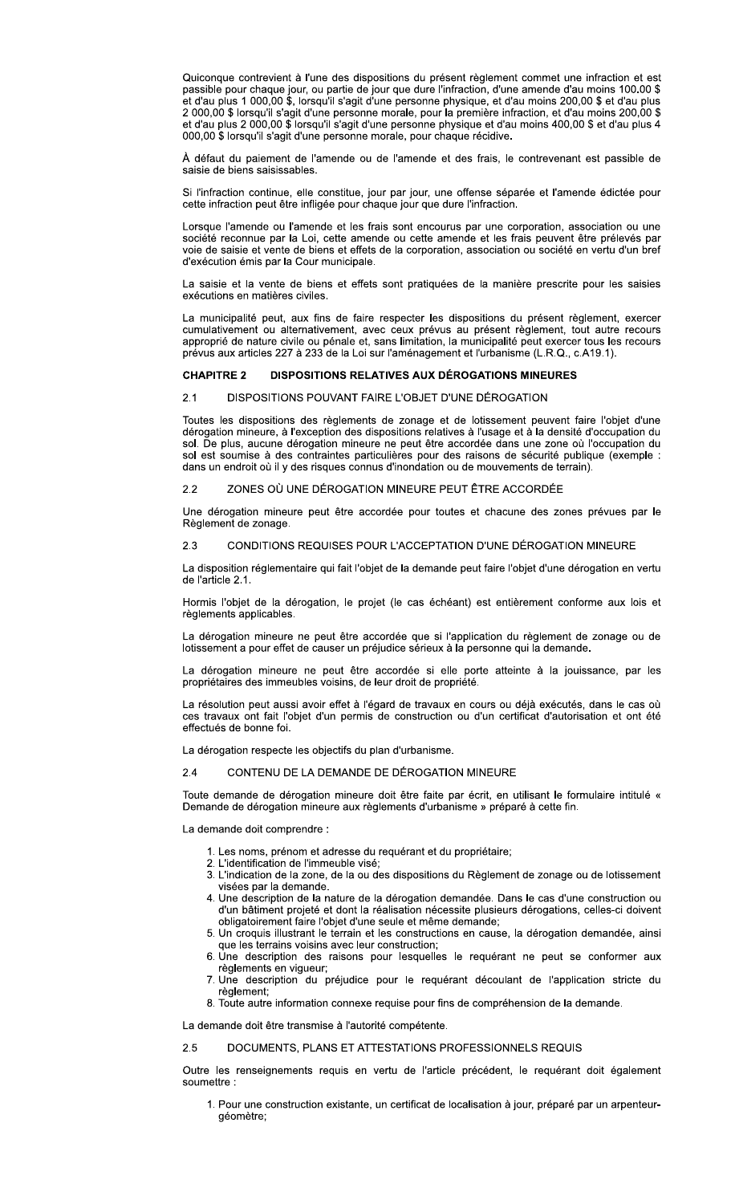Quiconque contrevient à l'une des dispositions du présent règlement commet une infraction et est passible pour chaque jour, ou partie de jour que dure l'infraction, d'une amende d'au moins 100.00 \$<br>et d'au plus 1 000,00 \$, lorsqu'il s'agit d'une personne physique, et d'au moins 200,00 \$ et d'au plus 2 000,00 \$ lorsqu'il s'agit d'une personne morale, pour la première infraction, et d'au moins 200,00 \$ et d'au plus 2 000,00 \$ lorsqu'il s'agit d'une personne physique et d'au moins 400,00 \$ et d'au plus 4 000,00 \$ lorsqu'il s'agit d'une personne morale, pour chaque récidive.

À défaut du paiement de l'amende ou de l'amende et des frais, le contrevenant est passible de saisie de biens saisissables.

Si l'infraction continue, elle constitue, jour par jour, une offense séparée et l'amende édictée pour cette infraction peut être infligée pour chaque jour que dure l'infraction.

Lorsque l'amende ou l'amende et les frais sont encourus par une corporation, association ou une société reconnue par la Loi, cette amende ou cette amende et les frais peuvent être prélevés par voie de saisie et vente de biens et effets de la corporation, association ou société en vertu d'un bref d'exécution émis par la Cour municipale.

La saisie et la vente de biens et effets sont pratiquées de la manière prescrite pour les saisies exécutions en matières civiles.

La municipalité peut, aux fins de faire respecter les dispositions du présent règlement, exercer cumulativement ou alternativement, avec ceux prévus au présent règlement, tout autre recours approprié de nature civile ou pénale et, sans limitation, la municipalité peut exercer tous les recours prévus aux articles 227 à 233 de la Loi sur l'aménagement et l'urbanisme (L.R.Q., c.A19.1).

### DISPOSITIONS RELATIVES AUX DÉROGATIONS MINEURES **CHAPITRE 2**

### DISPOSITIONS POUVANT FAIRE L'OBJET D'UNE DÉROGATION  $2.1$

Toutes les dispositions des règlements de zonage et de lotissement peuvent faire l'objet d'une dérogation mineure, à l'exception des dispositions relatives à l'usage et à la densité d'occupation du sol. De plus, aucune dérogation mineure ne peut être accordée dans une zone où l'occupation du sol est soumise à des contraintes particulières pour des raisons de sécurité publique (exemple : dans un endroit où il y des risques connus d'inondation ou de mouvements de terrain).

### ZONES OÙ UNE DÉROGATION MINEURE PEUT ÊTRE ACCORDÉE  $2.2$

Une dérogation mineure peut être accordée pour toutes et chacune des zones prévues par le Règlement de zonage.

### CONDITIONS REQUISES POUR L'ACCEPTATION D'UNE DÉROGATION MINEURE  $2.3$

La disposition réglementaire qui fait l'objet de la demande peut faire l'objet d'une dérogation en vertu de l'article 2.1.

Hormis l'objet de la dérogation, le projet (le cas échéant) est entièrement conforme aux lois et règlements applicables.

La dérogation mineure ne peut être accordée que si l'application du règlement de zonage ou de lotissement a pour effet de causer un préjudice sérieux à la personne qui la demande.

La dérogation mineure ne peut être accordée si elle porte atteinte à la jouissance, par les propriétaires des immeubles voisins, de leur droit de propriété.

La résolution peut aussi avoir effet à l'égard de travaux en cours ou déjà exécutés, dans le cas où ces travaux ont fait l'objet d'un permis de construction ou d'un certificat d'autorisation et ont été effectués de bonne foi.

La dérogation respecte les objectifs du plan d'urbanisme.

#### CONTENU DE LA DEMANDE DE DÉROGATION MINEURE  $24$

Toute demande de dérogation mineure doit être faite par écrit, en utilisant le formulaire intitulé « Demande de dérogation mineure aux règlements d'urbanisme » préparé à cette fin.

La demande doit comprendre :

- 1. Les noms, prénom et adresse du requérant et du propriétaire;
- 2. L'identification de l'immeuble visé;
- 3. L'indication de la zone, de la ou des dispositions du Règlement de zonage ou de lotissement visées par la demande.
- 4. Une description de la nature de la dérogation demandée. Dans le cas d'une construction ou d'un bâtiment projeté et dont la réalisation nécessite plusieurs dérogations, celles-ci doivent obligatoirement faire l'objet d'une seule et même demande;
- 5. Un croquis illustrant le terrain et les constructions en cause, la dérogation demandée, ainsi que les terrains voisins avec leur construction;
- 6. Une description des raisons pour lesquelles le requérant ne peut se conformer aux règlements en vigueur;
- 7. Une description du préjudice pour le requérant découlant de l'application stricte du règlement;
- 8. Toute autre information connexe requise pour fins de compréhension de la demande.

La demande doit être transmise à l'autorité compétente.

### DOCUMENTS, PLANS ET ATTESTATIONS PROFESSIONNELS REQUIS  $2.5$

Outre les renseignements requis en vertu de l'article précédent, le requérant doit également soumettre:

1. Pour une construction existante, un certificat de localisation à jour, préparé par un arpenteurgéomètre;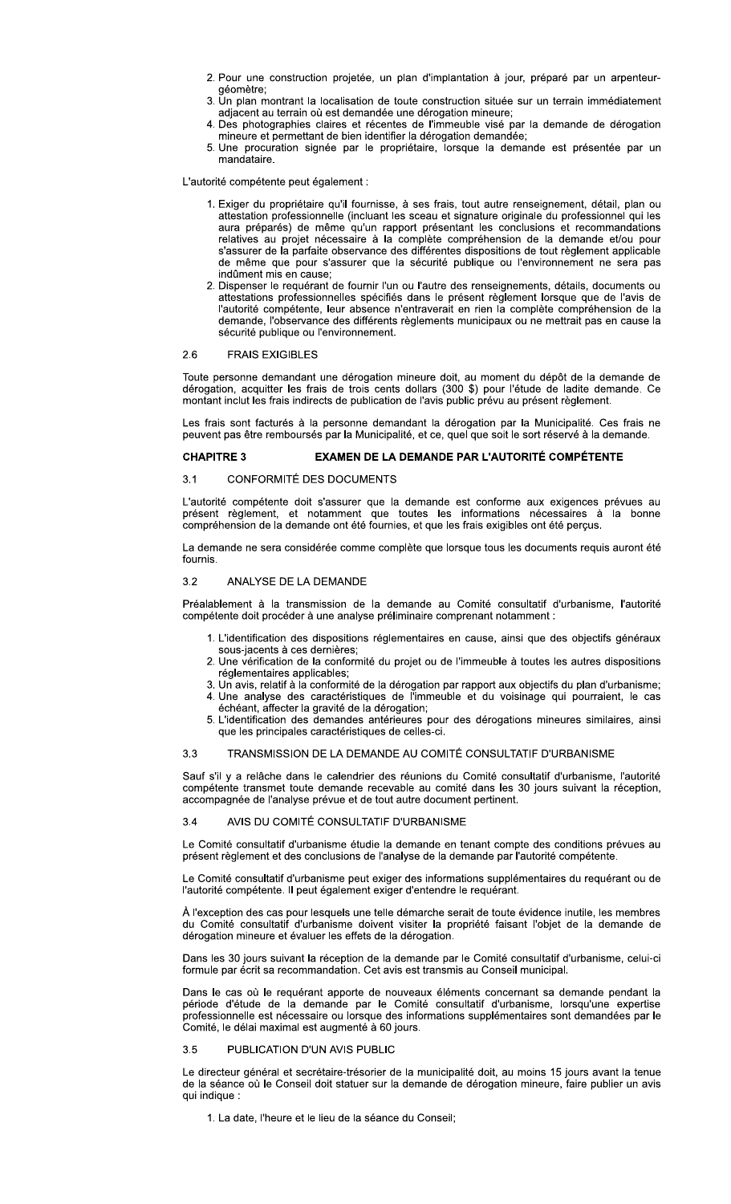- 2. Pour une construction projetée, un plan d'implantation à jour, préparé par un arpenteurgéomètre:
- 3. Un plan montrant la localisation de toute construction située sur un terrain immédiatement adjacent au terrain où est demandée une dérogation mineure;
- 4. Des photographies claires et récentes de l'immeuble visé par la demande de dérogation mineure et permettant de bien identifier la dérogation demandée;
- 5. Une procuration signée par le propriétaire, lorsque la demande est présentée par un mandataire.

L'autorité compétente peut également :

- 1. Exiger du propriétaire qu'il fournisse, à ses frais, tout autre renseignement, détail, plan ou attestation professionnelle (incluant les sceau et signature originale du professionnel qui les aura préparés) de même qu'un rapport présentant les conclusions et recommandations relatives au projet nécessaire à la complète compréhension de la demande et/ou pour<br>s'assurer de la parfaite observance des différentes dispositions de tout règlement applicable de même que pour s'assurer que la sécurité publique ou l'environnement ne sera pas indûment mis en cause:
- 2. Dispenser le requérant de fournir l'un ou l'autre des renseignements, détails, documents ou attestations professionnelles spécifiés dans le présent règlement lorsque que de l'avis de l'autorité compétente, leur absence n'entraverait en rien la complète compréhension de la demande, l'observance des différents règlements municipaux ou ne mettrait pas en cause la sécurité publique ou l'environnement.

### 2.6 **FRAIS EXIGIBLES**

Toute personne demandant une dérogation mineure doit, au moment du dépôt de la demande de<br>dérogation, acquitter les frais de trois cents dollars (300 \$) pour l'étude de ladite demande. Ce montant inclut les frais indirects de publication de l'avis public prévu au présent règlement.

Les frais sont facturés à la personne demandant la dérogation par la Municipalité. Ces frais ne peuvent pas être remboursés par la Municipalité, et ce, quel que soit le sort réservé à la demande.

#### **CHAPITRE 3** EXAMEN DE LA DEMANDE PAR L'AUTORITÉ COMPÉTENTE

### **CONFORMITÉ DES DOCUMENTS**  $3.1$

L'autorité compétente doit s'assurer que la demande est conforme aux exigences prévues au<br>présent règlement, et notamment que toutes les informations nécessaires à la bonne<br>compréhension de la demande ont été fournies, et

La demande ne sera considérée comme complète que lorsque tous les documents requis auront été fournis.

### ANALYSE DE LA DEMANDE  $3.2$

Préalablement à la transmission de la demande au Comité consultatif d'urbanisme, l'autorité compétente doit procéder à une analyse préliminaire comprenant notamment :

- 1. L'identification des dispositions réglementaires en cause, ainsi que des objectifs généraux sous-jacents à ces dernières;
- 2. Une vérification de la conformité du projet ou de l'immeuble à toutes les autres dispositions réglementaires applicables;
- 3. Un avis, relatif à la conformité de la dérogation par rapport aux objectifs du plan d'urbanisme; 4. Une analyse des caractéristiques de l'immeuble et du voisinage qui pourraient, le cas<br>échéant, affecter la gravité de la dérogation;
- 5. L'identification des demandes antérieures pour des dérogations mineures similaires, ainsi que les principales caractéristiques de celles-ci.

#### $3.3$ TRANSMISSION DE LA DEMANDE AU COMITÉ CONSULTATIF D'URBANISME

Sauf s'il y a relâche dans le calendrier des réunions du Comité consultatif d'urbanisme, l'autorité compétente transmet toute demande recevable au comité dans les 30 jours suivant la réception, accompagnée de l'analyse prévue et de tout autre document pertinent.

#### AVIS DU COMITÉ CONSULTATIF D'URBANISME  $3.4$

Le Comité consultatif d'urbanisme étudie la demande en tenant compte des conditions prévues au présent règlement et des conclusions de l'analyse de la demande par l'autorité compétente.

Le Comité consultatif d'urbanisme peut exiger des informations supplémentaires du requérant ou de l'autorité compétente. Il peut également exiger d'entendre le requérant.

À l'exception des cas pour lesquels une telle démarche serait de toute évidence inutile, les membres du Comité consultatif d'urbanisme doivent visiter la propriété faisant l'objet de la demande de dérogation mineure et évaluer les effets de la dérogation.

Dans les 30 jours suivant la réception de la demande par le Comité consultatif d'urbanisme, celui-ci formule par écrit sa recommandation. Cet avis est transmis au Conseil municipal.

Dans le cas où le requérant apporte de nouveaux éléments concernant sa demande pendant la période d'étude de la demande par le Comité consultatif d'urbanisme, lorsqu'une expertise<br>professionnelle est nécessaire ou lorsque des informations supplémentaires sont demandées par le Comité, le délai maximal est augmenté à 60 jours.

#### PUBLICATION D'UN AVIS PUBLIC 35

Le directeur général et secrétaire-trésorier de la municipalité doit, au moins 15 jours avant la tenue de la séance où le Conseil doit statuer sur la demande de dérogation mineure, faire publier un avis qui indique :

1. La date. l'heure et le lieu de la séance du Conseil: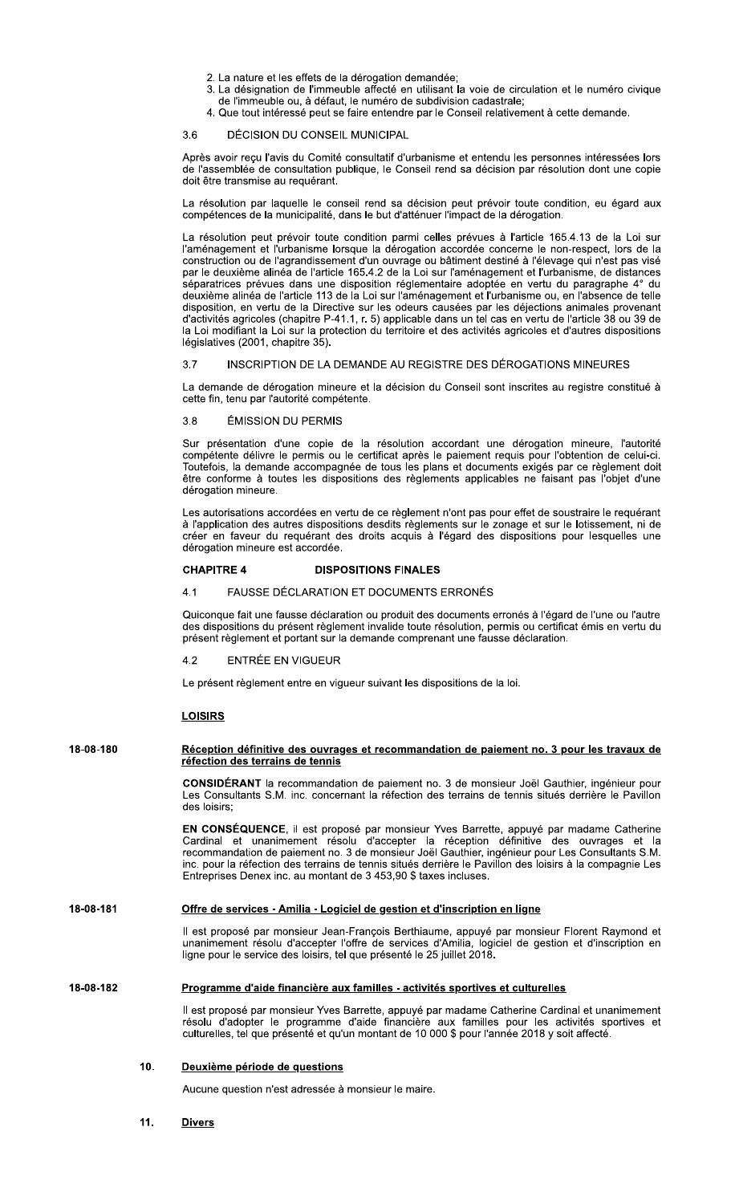- 2. La nature et les effets de la dérogation demandée:
- 3. La désignation de l'immeuble affecté en utilisant la voie de circulation et le numéro civique de l'immeuble ou, à défaut, le numéro de subdivision cadastrale;
- 4. Que tout intéressé peut se faire entendre par le Conseil relativement à cette demande.

### DÉCISION DU CONSEIL MUNICIPAL  $3.6$

Après avoir reçu l'avis du Comité consultatif d'urbanisme et entendu les personnes intéressées lors de l'assemblée de consultation publique, le Conseil rend sa décision par résolution dont une copie doit être transmise au requérant.

La résolution par laquelle le conseil rend sa décision peut prévoir toute condition, eu égard aux compétences de la municipalité, dans le but d'atténuer l'impact de la dérogation.

La résolution peut prévoir toute condition parmi celles prévues à l'article 165.4.13 de la Loi sur l'aménagement et l'urbanisme lorsque la dérogation accordée concerne le non-respect, lors de la construction ou de l'agrandissement d'un ouvrage ou bâtiment destiné à l'élevage qui n'est pas visé par le deuxième alinéa de l'article 165.4.2 de la Loi sur l'aménagement et l'urbanisme, de distances séparatrices prévues dans une disposition réglementaire adoptée en vertu du paragraphe 4° du deuxième alinéa de l'article 113 de la Loi sur l'aménagement et l'urbanisme ou, en l'absence de telle disposition, en vertu de la Directive sur les odeurs causées par les déjections animales provenant<br>d'activités agricoles (chapitre P-41.1, r. 5) applicable dans un tel cas en vertu de l'article 38 ou 39 de la Loi modifiant la Loi sur la protection du territoire et des activités agricoles et d'autres dispositions législatives (2001, chapitre 35).

### $37$ INSCRIPTION DE LA DEMANDE AU REGISTRE DES DÉROGATIONS MINEURES

La demande de dérogation mineure et la décision du Conseil sont inscrites au registre constitué à cette fin, tenu par l'autorité compétente.

### $3.8$ ÉMISSION DU PERMIS

Sur présentation d'une copie de la résolution accordant une dérogation mineure, l'autorité compétente délivre le permis ou le certificat après le paiement requis pour l'obtention de celui-ci. Toutefois, la demande accompagnée de tous les plans et documents exigés par ce règlement doit être conforme à toutes les dispositions des règlements applicables ne faisant pas l'objet d'une dérogation mineure.

Les autorisations accordées en vertu de ce règlement n'ont pas pour effet de soustraire le requérant à l'application des autres dispositions desdits règlements sur le zonage et sur le lotissement, ni de créer en faveur du requérant des droits acquis à l'égard des dispositions pour lesquelles une dérogation mineure est accordée.

### **CHAPITRE 4 DISPOSITIONS FINALES**

#### FAUSSE DÉCLARATION ET DOCUMENTS ERRONÉS  $4<sub>1</sub>$

Quiconque fait une fausse déclaration ou produit des documents erronés à l'égard de l'une ou l'autre des dispositions du présent règlement invalide toute résolution, permis ou certificat émis en vertu du présent règlement et portant sur la demande comprenant une fausse déclaration.

#### ENTRÉE EN VIGUEUR  $4.2$

Le présent règlement entre en vigueur suivant les dispositions de la loi.

## **LOISIRS**

### 18-08-180 Réception définitive des ouvrages et recommandation de paiement no. 3 pour les travaux de réfection des terrains de tennis

CONSIDÉRANT la recommandation de paiement no. 3 de monsieur Joël Gauthier, ingénieur pour Les Consultants S.M. inc. concernant la réfection des terrains de tennis situés derrière le Pavillon des loisirs;

EN CONSÉQUENCE, il est proposé par monsieur Yves Barrette, appuyé par madame Catherine Cardinal et unanimement résolu d'accepter la réception définitive des ouvrages et la<br>recommandation de paiement no. 3 de monsieur Joël Gauthier, ingénieur pour Les Consultants S.M.<br>inc. pour la réfection des terrains de te Entreprises Denex inc. au montant de 3 453,90 \$ taxes incluses.

### 18-08-181 Offre de services - Amilia - Logiciel de gestion et d'inscription en ligne

Il est proposé par monsieur Jean-François Berthiaume, appuyé par monsieur Florent Raymond et unanimement résolu d'accepter l'offre de services d'Amilia, logiciel de gestion et d'inscription en ligne pour le service des loisirs, tel que présenté le 25 juillet 2018.

### 18-08-182 Programme d'aide financière aux familles - activités sportives et culturelles

Il est proposé par monsieur Yves Barrette, appuyé par madame Catherine Cardinal et unanimement résolu d'adopter le programme d'aide financière aux familles pour les activités sportives et<br>culturelles, tel que présenté et qu'un montant de 10 000 \$ pour l'année 2018 y soit affecté.

### 10. Deuxième période de questions

Aucune question n'est adressée à monsieur le maire.

 $11.$ **Divers**